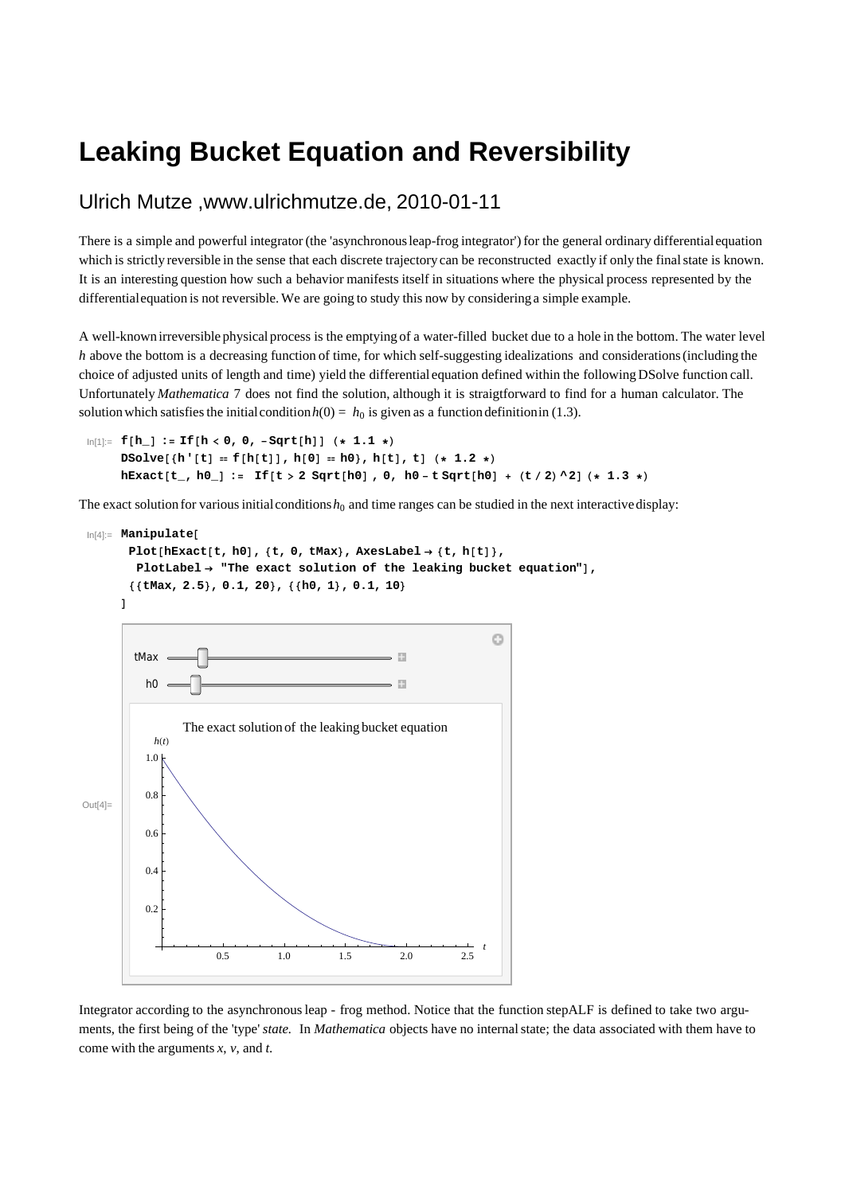## **Leaking Bucket Equation and Reversibility**

## Ulrich Mutze ,www.ulrichmutze.de, 2010-01-11

There is a simple and powerful integrator (the 'asynchronous leap-frog integrator') for the general ordinary differential equation which is strictly reversible in the sense that each discrete trajectory can be reconstructed exactly if only the final state is known. It is an interesting question how such a behavior manifests itself in situations where the physical process represented by the differential equation is not reversible. We are going to study this now by considering a simple example.

A well-known irreversible physical process is the emptying of a water-filled bucket due to a hole in the bottom. The water level *h* above the bottom is a decreasing function of time, for which self-suggesting idealizations and considerations (including the choice of adjusted units of length and time) yield the differential equation defined within the following DSolve function call. Unfortunately *Mathematica* 7 does not find the solution, although it is straigtforward to find for a human calculator. The solution which satisfies the initial condition  $h(0) = h_0$  is given as a function definition in (1.3).

```
\ln[1] := f [\mathbf{h}_-] := If [\mathbf{h} \times \mathbf{0}, \mathbf{0}, -\text{Sqrt}[\mathbf{h}]] (* 1.1 *)
      DSolve[{h'[t] = f[h[t]], h[0] = h0}, h[t], t] (* 1.2 *)
      hExact[t_, h0_] := If[t > 2 Sqrt[h0], 0, h0 - t Sqrt[h0] + (t/2) ^2] (* 1.3 *)
```
The exact solution for various initial conditions  $h_0$  and time ranges can be studied in the next interactive display:

```
In[4]:= Manipulate@
       Plot[ hExact[t, h0], \{t, 0, tMax\}, AxesLabel \rightarrow \{t, h[t]\},PlotLabel \rightarrow "The exact solution of the leaking bucket equation"],
       88tMax, 2.5<, 0.1, 20<, 88h0, 1<, 0.1, 10<
      D
                                                                    O
        tMax
                                                    B
          h0
                                                    E.
                The exact solution of the leaking bucket equation
           h(t)1.0
          0.8
Out[4] =0.6
          0.4
          0.2
                                                                   t
                      0.5 1.0 1.5 2.0 2.5
```
Integrator according to the asynchronous leap - frog method. Notice that the function stepALF is defined to take two arguments, the first being of the 'type' *state.* In *Mathematica* objects have no internal state; the data associated with them have to come with the arguments *x*, *v*, and *t*.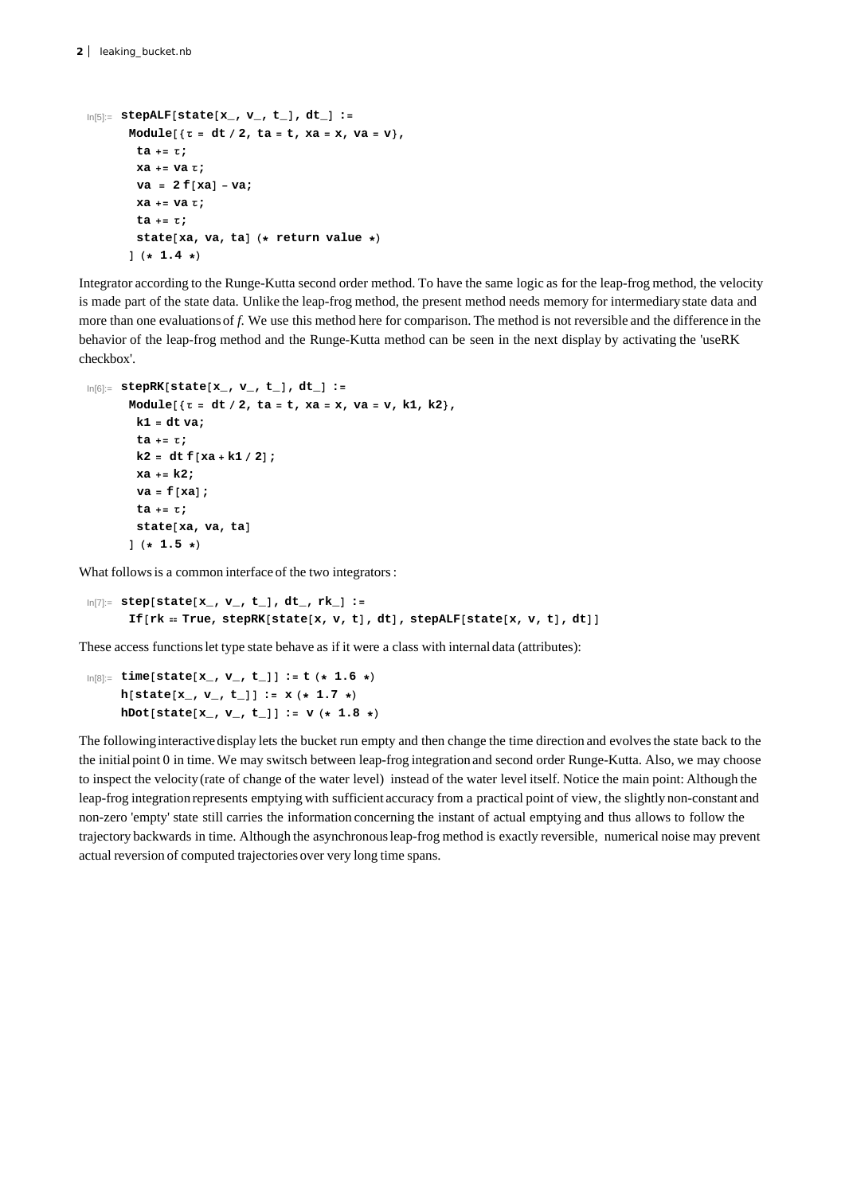```
In[5]:= stepALF@state@x_, v_, t_D, dt_D :=
         Module[ {t = dt / 2, ta = t, xa = x, va = v },
           ta += Τ;
          xa += va Τ;
           \mathbf{v} = 2 \mathbf{f} [\mathbf{x} \mathbf{a}] - \mathbf{v} \mathbf{a};
           xa += va Τ;
           ta += Τ;
           state[xa, va, ta] (* return value *)
         \frac{1}{4} \left( \star 1.4 \star \right)
```
Integrator according to the Runge-Kutta second order method. To have the same logic as for the leap-frog method, the velocity is made part of the state data. Unlike the leap-frog method, the present method needs memory for intermediary state data and more than one evaluations of *f*. We use this method here for comparison. The method is not reversible and the difference in the behavior of the leap-frog method and the Runge-Kutta method can be seen in the next display by activating the 'useRK checkbox'.

```
In[6]:= stepRK@state@x_, v_, t_D, dt_D :=
        Module[ {\tau = dt / 2, ta = t, xa = x, va = v, k1, k2},
          k1 = dt va;
          ta += Τ;
          k2 = dt f [xa + k1 / 2];xa += k2;
          \mathbf{v}\mathbf{a} = \mathbf{f}[\mathbf{x}\mathbf{a}];
          ta += Τ;
          stat<sup>xa, va, ta]</sup>
         \frac{1}{2} (* 1.5 *)
```
What follows is a common interface of the two integrators :

```
In[7]:= step@state@x_, v_, t_D, dt_, rk_D :=
      If [rk = True, stepRK[state[x, v, t], dt], stepALF[state[x, v, t], dt]]
```
These access functions let type state behave as if it were a class with internal data (attributes):

 $\ln[8] := \text{time}[\text{state}[x_1, v_1, t_1]] := t$  (\* 1.6 \*)  $h[state[x_1, v_1, t_1]] := x(*1.7*)$ **hDot[state** $[x_1, y_1, t_1]$ **]** :=  $y$  (\* 1.8 \*)

The following interactive display lets the bucket run empty and then change the time direction and evolves the state back to the the initial point 0 in time. We may switsch between leap-frog integration and second order Runge-Kutta. Also, we may choose to inspect the velocity (rate of change of the water level) instead of the water level itself. Notice the main point: Although the leap-frog integration represents emptying with sufficient accuracy from a practical point of view, the slightly non-constant and non-zero 'empty' state still carries the information concerning the instant of actual emptying and thus allows to follow the trajectory backwards in time. Although the asynchronous leap-frog method is exactly reversible, numerical noise may prevent actual reversion of computed trajectories over very long time spans.